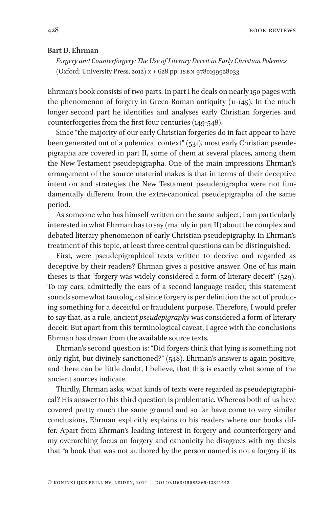428 BOOK REVIEWS

## **Bart D. Ehrman**

*Forgery and Counterforgery: The Use of Literary Deceit in Early Christian Polemics* (Oxford: University Press, 2012) x + 628 pp. ISBN 9780199928033

Ehrman's book consists of two parts. In part I he deals on nearly 150 pages with the phenomenon of forgery in Greco-Roman antiquity (11-145). In the much longer second part he identifies and analyses early Christian forgeries and counterforgeries from the first four centuries (149-548).

Since "the majority of our early Christian forgeries do in fact appear to have been generated out of a polemical context" (531), most early Christian pseudepigrapha are covered in part II, some of them at several places, among them the New Testament pseudepigrapha. One of the main impressions Ehrman's arrangement of the source material makes is that in terms of their deceptive intention and strategies the New Testament pseudepigrapha were not fundamentally different from the extra-canonical pseudepigrapha of the same period.

As someone who has himself written on the same subject, I am particularly interested in what Ehrman has to say (mainly in part II) about the complex and debated literary phenomenon of early Christian pseudepigraphy. In Ehrman's treatment of this topic, at least three central questions can be distinguished.

First, were pseudepigraphical texts written to deceive and regarded as deceptive by their readers? Ehrman gives a positive answer. One of his main theses is that "forgery was widely considered a form of literary deceit" (529). To my ears, admittedly the ears of a second language reader, this statement sounds somewhat tautological since forgery is per definition the act of producing something for a deceitful or fraudulent purpose. Therefore, I would prefer to say that, as a rule, ancient *pseudepigraphy* was considered a form of literary deceit. But apart from this terminological caveat, I agree with the conclusions Ehrman has drawn from the available source texts.

Ehrman's second question is: "Did forgers think that lying is something not only right, but divinely sanctioned?" (548). Ehrman's answer is again positive, and there can be little doubt, I believe, that this is exactly what some of the ancient sources indicate.

Thirdly, Ehrman asks, what kinds of texts were regarded as pseudepigraphical? His answer to this third question is problematic. Whereas both of us have covered pretty much the same ground and so far have come to very similar conclusions, Ehrman explicitly explains to his readers where our books differ. Apart from Ehrman's leading interest in forgery and counterforgery and my overarching focus on forgery and canonicity he disagrees with my thesis that "a book that was not authored by the person named is not a forgery if its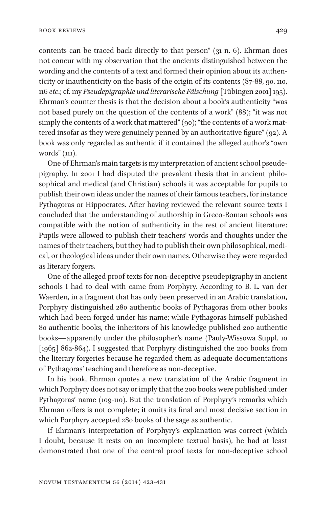contents can be traced back directly to that person" (31 n. 6). Ehrman does not concur with my observation that the ancients distinguished between the wording and the contents of a text and formed their opinion about its authenticity or inauthenticity on the basis of the origin of its contents (87-88, 90, 110, 116 *etc*.; cf. my *Pseudepigraphie und literarische Fälschung* [Tübingen 2001] 195). Ehrman's counter thesis is that the decision about a book's authenticity "was not based purely on the question of the contents of a work" (88); "it was not simply the contents of a work that mattered" (90); "the contents of a work mattered insofar as they were genuinely penned by an authoritative figure" (92). A book was only regarded as authentic if it contained the alleged author's "own words" (111).

One of Ehrman's main targets is my interpretation of ancient school pseudepigraphy. In 2001 I had disputed the prevalent thesis that in ancient philosophical and medical (and Christian) schools it was acceptable for pupils to publish their own ideas under the names of their famous teachers, for instance Pythagoras or Hippocrates. After having reviewed the relevant source texts I concluded that the understanding of authorship in Greco-Roman schools was compatible with the notion of authenticity in the rest of ancient literature: Pupils were allowed to publish their teachers' words and thoughts under the names of their teachers, but they had to publish their own philosophical, medical, or theological ideas under their own names. Otherwise they were regarded as literary forgers.

One of the alleged proof texts for non-deceptive pseudepigraphy in ancient schools I had to deal with came from Porphyry. According to B. L. van der Waerden, in a fragment that has only been preserved in an Arabic translation, Porphyry distinguished 280 authentic books of Pythagoras from other books which had been forged under his name; while Pythagoras himself published 80 authentic books, the inheritors of his knowledge published 200 authentic books—apparently under the philosopher's name (Pauly-Wissowa Suppl. 10 [1965] 862-864). I suggested that Porphyry distinguished the 200 books from the literary forgeries because he regarded them as adequate documentations of Pythagoras' teaching and therefore as non-deceptive.

In his book, Ehrman quotes a new translation of the Arabic fragment in which Porphyry does not say or imply that the 200 books were published under Pythagoras' name (109-110). But the translation of Porphyry's remarks which Ehrman offers is not complete; it omits its final and most decisive section in which Porphyry accepted 280 books of the sage as authentic.

If Ehrman's interpretation of Porphyry's explanation was correct (which I doubt, because it rests on an incomplete textual basis), he had at least demonstrated that one of the central proof texts for non-deceptive school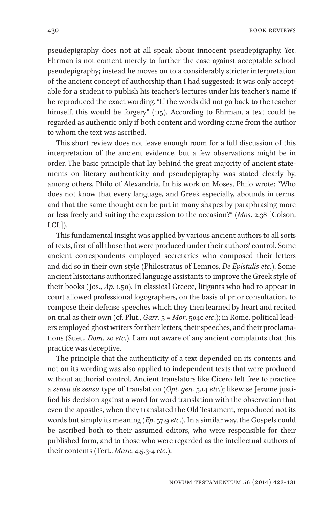430 BOOK REVIEWS

pseudepigraphy does not at all speak about innocent pseudepigraphy. Yet, Ehrman is not content merely to further the case against acceptable school pseudepigraphy; instead he moves on to a considerably stricter interpretation of the ancient concept of authorship than I had suggested: It was only acceptable for a student to publish his teacher's lectures under his teacher's name if he reproduced the exact wording. "If the words did not go back to the teacher himself, this would be forgery" (115). According to Ehrman, a text could be regarded as authentic only if both content and wording came from the author to whom the text was ascribed.

This short review does not leave enough room for a full discussion of this interpretation of the ancient evidence, but a few observations might be in order. The basic principle that lay behind the great majority of ancient statements on literary authenticity and pseudepigraphy was stated clearly by, among others, Philo of Alexandria. In his work on Moses, Philo wrote: "Who does not know that every language, and Greek especially, abounds in terms, and that the same thought can be put in many shapes by paraphrasing more or less freely and suiting the expression to the occasion?" (*Mos*. 2.38 [Colson, LCL]).

This fundamental insight was applied by various ancient authors to all sorts of texts, first of all those that were produced under their authors' control. Some ancient correspondents employed secretaries who composed their letters and did so in their own style (Philostratus of Lemnos, *De Epistulis etc*.). Some ancient historians authorized language assistants to improve the Greek style of their books (Jos., *Ap*. 1.50). In classical Greece, litigants who had to appear in court allowed professional logographers, on the basis of prior consultation, to compose their defense speeches which they then learned by heart and recited on trial as their own (cf. Plut., *Garr*. 5 = *Mor*. 504c *etc*.); in Rome, political leaders employed ghost writers for their letters, their speeches, and their proclamations (Suet., *Dom*. 20 *etc*.). I am not aware of any ancient complaints that this practice was deceptive.

The principle that the authenticity of a text depended on its contents and not on its wording was also applied to independent texts that were produced without authorial control. Ancient translators like Cicero felt free to practice a *sensu de sensu* type of translation (*Opt. gen.* 5.14 *etc*.); likewise Jerome justified his decision against a word for word translation with the observation that even the apostles, when they translated the Old Testament, reproduced not its words but simply its meaning (*Ep*. 57.9 *etc*.). In a similar way, the Gospels could be ascribed both to their assumed editors, who were responsible for their published form, and to those who were regarded as the intellectual authors of their contents (Tert., *Marc*. 4.5.3-4 *etc*.).